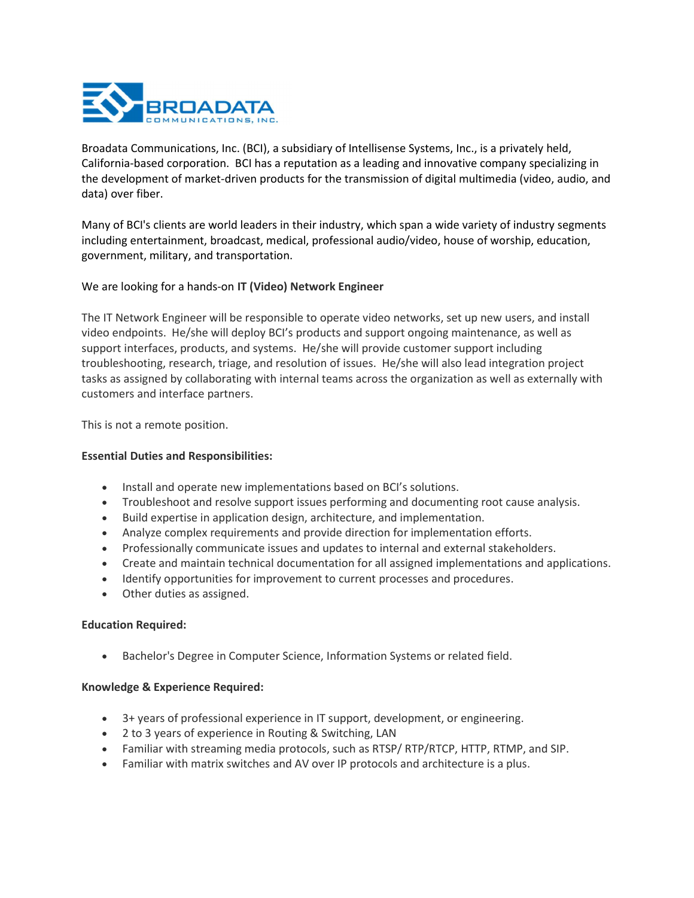

Broadata Communications, Inc. (BCI), a subsidiary of Intellisense Systems, Inc., is a privately held, California-based corporation. BCI has a reputation as a leading and innovative company specializing in the development of market-driven products for the transmission of digital multimedia (video, audio, and data) over fiber.

Many of BCI's clients are world leaders in their industry, which span a wide variety of industry segments including entertainment, broadcast, medical, professional audio/video, house of worship, education, government, military, and transportation.

# We are looking for a hands-on IT (Video) Network Engineer

The IT Network Engineer will be responsible to operate video networks, set up new users, and install video endpoints. He/she will deploy BCI's products and support ongoing maintenance, as well as support interfaces, products, and systems. He/she will provide customer support including troubleshooting, research, triage, and resolution of issues. He/she will also lead integration project tasks as assigned by collaborating with internal teams across the organization as well as externally with customers and interface partners.

This is not a remote position.

# Essential Duties and Responsibilities:

- Install and operate new implementations based on BCI's solutions.
- Troubleshoot and resolve support issues performing and documenting root cause analysis.
- Build expertise in application design, architecture, and implementation.
- Analyze complex requirements and provide direction for implementation efforts.
- Professionally communicate issues and updates to internal and external stakeholders.
- Create and maintain technical documentation for all assigned implementations and applications.
- Identify opportunities for improvement to current processes and procedures.
- Other duties as assigned.

#### Education Required:

Bachelor's Degree in Computer Science, Information Systems or related field.

#### Knowledge & Experience Required:

- 3+ years of professional experience in IT support, development, or engineering.
- 2 to 3 years of experience in Routing & Switching, LAN
- Familiar with streaming media protocols, such as RTSP/ RTP/RTCP, HTTP, RTMP, and SIP.
- Familiar with matrix switches and AV over IP protocols and architecture is a plus.